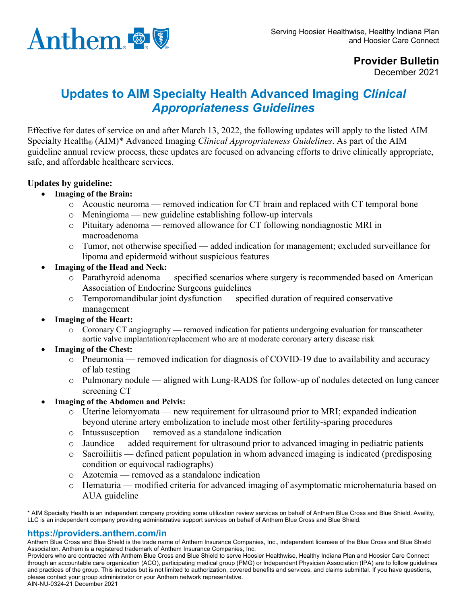

## **Provider Bulletin**

December 2021

## **Updates to AIM Specialty Health Advanced Imaging** *Clinical Appropriateness Guidelines*

Effective for dates of service on and after March 13, 2022, the following updates will apply to the listed AIM Specialty Health® (AIM)\* Advanced Imaging *Clinical Appropriateness Guidelines*. As part of the AIM guideline annual review process, these updates are focused on advancing efforts to drive clinically appropriate, safe, and affordable healthcare services.

## **Updates by guideline:**

- **Imaging of the Brain:** 
	- $\circ$  Acoustic neuroma removed indication for CT brain and replaced with CT temporal bone
	- o Meningioma new guideline establishing follow-up intervals
	- o Pituitary adenoma removed allowance for CT following nondiagnostic MRI in macroadenoma
	- o Tumor, not otherwise specified added indication for management; excluded surveillance for lipoma and epidermoid without suspicious features
- **Imaging of the Head and Neck:**
	- o Parathyroid adenoma specified scenarios where surgery is recommended based on American Association of Endocrine Surgeons guidelines
	- o Temporomandibular joint dysfunction specified duration of required conservative management
- **Imaging of the Heart:**
	- o Coronary CT angiography **—** removed indication for patients undergoing evaluation for transcatheter aortic valve implantation/replacement who are at moderate coronary artery disease risk
- **Imaging of the Chest:**
	- o Pneumonia removed indication for diagnosis of COVID-19 due to availability and accuracy of lab testing
	- o Pulmonary nodule aligned with Lung-RADS for follow-up of nodules detected on lung cancer screening CT
- **Imaging of the Abdomen and Pelvis:**
	- o Uterine leiomyomata new requirement for ultrasound prior to MRI; expanded indication beyond uterine artery embolization to include most other fertility-sparing procedures
	- o Intussusception removed as a standalone indication
	- o Jaundice added requirement for ultrasound prior to advanced imaging in pediatric patients
	- o Sacroiliitis defined patient population in whom advanced imaging is indicated (predisposing condition or equivocal radiographs)
	- o Azotemia removed as a standalone indication
	- o Hematuria modified criteria for advanced imaging of asymptomatic microhematuria based on AUA guideline

\* AIM Specialty Health is an independent company providing some utilization review services on behalf of Anthem Blue Cross and Blue Shield. Availity, LLC is an independent company providing administrative support services on behalf of Anthem Blue Cross and Blue Shield.

## **https://providers.anthem.com/in**

Anthem Blue Cross and Blue Shield is the trade name of Anthem Insurance Companies, Inc., independent licensee of the Blue Cross and Blue Shield Association. Anthem is a registered trademark of Anthem Insurance Companies, Inc.

Providers who are contracted with Anthem Blue Cross and Blue Shield to serve Hoosier Healthwise, Healthy Indiana Plan and Hoosier Care Connect through an accountable care organization (ACO), participating medical group (PMG) or Independent Physician Association (IPA) are to follow guidelines and practices of the group. This includes but is not limited to authorization, covered benefits and services, and claims submittal. If you have questions, please contact your group administrator or your Anthem network representative. AIN-NU-0324-21 December 2021